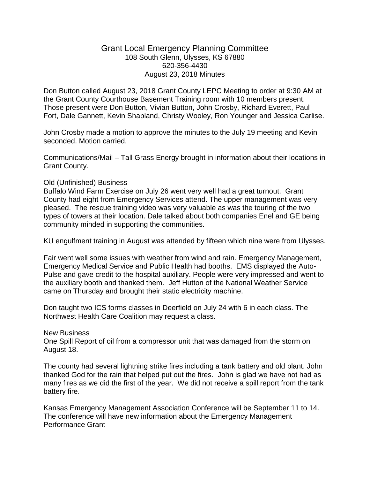## Grant Local Emergency Planning Committee 108 South Glenn, Ulysses, KS 67880 620-356-4430 August 23, 2018 Minutes

Don Button called August 23, 2018 Grant County LEPC Meeting to order at 9:30 AM at the Grant County Courthouse Basement Training room with 10 members present. Those present were Don Button, Vivian Button, John Crosby, Richard Everett, Paul Fort, Dale Gannett, Kevin Shapland, Christy Wooley, Ron Younger and Jessica Carlise.

John Crosby made a motion to approve the minutes to the July 19 meeting and Kevin seconded. Motion carried.

Communications/Mail – Tall Grass Energy brought in information about their locations in Grant County.

### Old (Unfinished) Business

Buffalo Wind Farm Exercise on July 26 went very well had a great turnout. Grant County had eight from Emergency Services attend. The upper management was very pleased. The rescue training video was very valuable as was the touring of the two types of towers at their location. Dale talked about both companies Enel and GE being community minded in supporting the communities.

KU engulfment training in August was attended by fifteen which nine were from Ulysses.

Fair went well some issues with weather from wind and rain. Emergency Management, Emergency Medical Service and Public Health had booths. EMS displayed the Auto-Pulse and gave credit to the hospital auxiliary. People were very impressed and went to the auxiliary booth and thanked them. Jeff Hutton of the National Weather Service came on Thursday and brought their static electricity machine.

Don taught two ICS forms classes in Deerfield on July 24 with 6 in each class. The Northwest Health Care Coalition may request a class.

#### New Business

One Spill Report of oil from a compressor unit that was damaged from the storm on August 18.

The county had several lightning strike fires including a tank battery and old plant. John thanked God for the rain that helped put out the fires. John is glad we have not had as many fires as we did the first of the year. We did not receive a spill report from the tank battery fire.

Kansas Emergency Management Association Conference will be September 11 to 14. The conference will have new information about the Emergency Management Performance Grant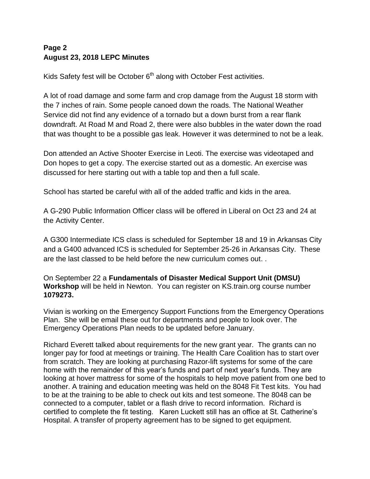# **Page 2 August 23, 2018 LEPC Minutes**

Kids Safety fest will be October  $6<sup>th</sup>$  along with October Fest activities.

A lot of road damage and some farm and crop damage from the August 18 storm with the 7 inches of rain. Some people canoed down the roads. The National Weather Service did not find any evidence of a tornado but a down burst from a rear flank downdraft. At Road M and Road 2, there were also bubbles in the water down the road that was thought to be a possible gas leak. However it was determined to not be a leak.

Don attended an Active Shooter Exercise in Leoti. The exercise was videotaped and Don hopes to get a copy. The exercise started out as a domestic. An exercise was discussed for here starting out with a table top and then a full scale.

School has started be careful with all of the added traffic and kids in the area.

A G-290 Public Information Officer class will be offered in Liberal on Oct 23 and 24 at the Activity Center.

A G300 Intermediate ICS class is scheduled for September 18 and 19 in Arkansas City and a G400 advanced ICS is scheduled for September 25-26 in Arkansas City. These are the last classed to be held before the new curriculum comes out. .

On September 22 a **Fundamentals of Disaster Medical Support Unit (DMSU) Workshop** will be held in Newton. You can register on KS.train.org course number **1079273.**

Vivian is working on the Emergency Support Functions from the Emergency Operations Plan. She will be email these out for departments and people to look over. The Emergency Operations Plan needs to be updated before January.

Richard Everett talked about requirements for the new grant year. The grants can no longer pay for food at meetings or training. The Health Care Coalition has to start over from scratch. They are looking at purchasing Razor-lift systems for some of the care home with the remainder of this year's funds and part of next year's funds. They are looking at hover mattress for some of the hospitals to help move patient from one bed to another. A training and education meeting was held on the 8048 Fit Test kits. You had to be at the training to be able to check out kits and test someone. The 8048 can be connected to a computer, tablet or a flash drive to record information. Richard is certified to complete the fit testing. Karen Luckett still has an office at St. Catherine's Hospital. A transfer of property agreement has to be signed to get equipment.